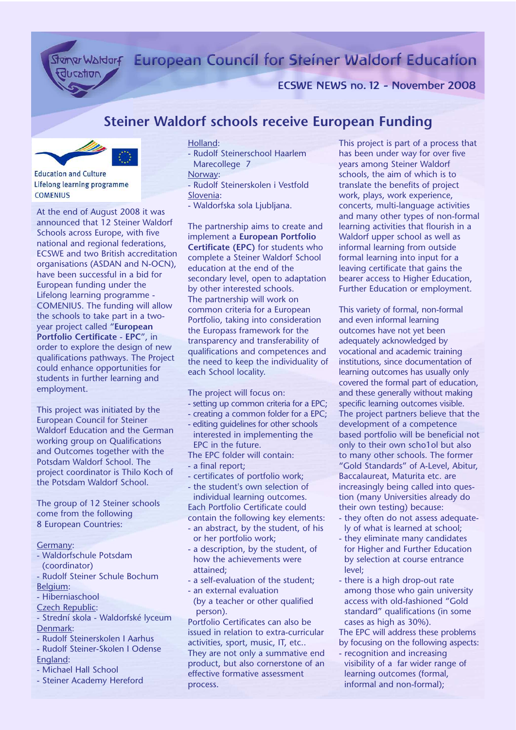Stan Waldorf European Council for Steiner Waldorf Education

ECSWE NEWS no. 12 - November 2008

# **Steiner Waldorf schools receive European Funding**



ducation

Lifelong learning programme **COMENIUS** 

At the end of August 2008 it was announced that 12 Steiner Waldorf Schools across Europe, with five national and regional federations, ECSWE and two British accreditation organisations (ASDAN and N-OCN), have been successful in a bid for European funding under the Lifelong learning programme - COMENIUS. The funding will allow the schools to take part in a twoyear project called "**European Portfolio Certificate - EPC**", in order to explore the design of new qualifications pathways. The Project could enhance opportunities for students in further learning and employment.

This project was initiated by the European Council for Steiner Waldorf Education and the German working group on Qualifications and Outcomes together with the Potsdam Waldorf School. The project coordinator is Thilo Koch of the Potsdam Waldorf School.

The group of 12 Steiner schools come from the following 8 European Countries:

#### Germany:

- Waldorfschule Potsdam (coordinator)
- Rudolf Steiner Schule Bochum Belgium:
- Hiberniaschool
- Czech Republic:
- Strední skola Waldorfské lyceum Denmark:
- Rudolf Steinerskolen I Aarhus
- Rudolf Steiner-Skolen I Odense
- England:
- Michael Hall School
- Steiner Academy Hereford

#### Holland:

- Rudolf Steinerschool Haarlem Marecollege 7

### Norway:

- Rudolf Steinerskolen i Vestfold Slovenia:
- Waldorfska sola Ljubljana.

The partnership aims to create and implement a **European Portfolio Certificate (EPC)** for students who complete a Steiner Waldorf School education at the end of the secondary level, open to adaptation by other interested schools. The partnership will work on common criteria for a European Portfolio, taking into consideration the Europass framework for the transparency and transferability of qualifications and competences and the need to keep the individuality of each School locality.

The project will focus on:

- setting up common criteria for a EPC;
- creating a common folder for a EPC;
- editing guidelines for other schools interested in implementing the EPC in the future.
- The EPC folder will contain:
- a final report;
- certificates of portfolio work;
- the student's own selection of individual learning outcomes. Each Portfolio Certificate could

contain the following key elements:

- an abstract, by the student, of his or her portfolio work;
- a description, by the student, of how the achievements were attained;
- a self-evaluation of the student;
- an external evaluation (by a teacher or other qualified person).

Portfolio Certificates can also be issued in relation to extra-curricular activities, sport, music, IT, etc.. They are not only a summative end product, but also cornerstone of an effective formative assessment process.

This project is part of a process that has been under way for over five years among Steiner Waldorf schools, the aim of which is to translate the benefits of project work, plays, work experience, concerts, multi-language activities and many other types of non-formal learning activities that flourish in a Waldorf upper school as well as informal learning from outside formal learning into input for a leaving certificate that gains the bearer access to Higher Education, Further Education or employment.

This variety of formal, non-formal and even informal learning outcomes have not yet been adequately acknowledged by vocational and academic training institutions, since documentation of learning outcomes has usually only covered the formal part of education, and these generally without making specific learning outcomes visible. The project partners believe that the development of a competence based portfolio will be beneficial not only to their own scho1ol but also to many other schools. The former "Gold Standards" of A-Level, Abitur, Baccalaureat, Maturita etc. are increasingly being called into question (many Universities already do their own testing) because:

- they often do not assess adequately of what is learned at school;
- they eliminate many candidates for Higher and Further Education by selection at course entrance level;
- there is a high drop-out rate among those who gain university access with old-fashioned "Gold standard" qualifications (in some cases as high as 30%).

The EPC will address these problems by focusing on the following aspects:

- recognition and increasing visibility of a far wider range of learning outcomes (formal, informal and non-formal);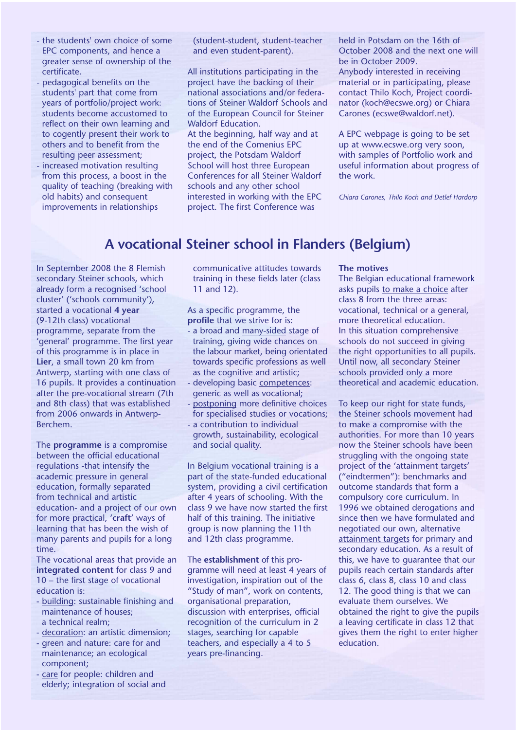- the students' own choice of some EPC components, and hence a greater sense of ownership of the certificate.
- pedagogical benefits on the students' part that come from years of portfolio/project work: students become accustomed to reflect on their own learning and to cogently present their work to others and to benefit from the resulting peer assessment;
- increased motivation resulting from this process, a boost in the quality of teaching (breaking with old habits) and consequent improvements in relationships

(student-student, student-teacher and even student-parent).

All institutions participating in the project have the backing of their national associations and/or federations of Steiner Waldorf Schools and of the European Council for Steiner Waldorf Education.

At the beginning, half way and at the end of the Comenius EPC project, the Potsdam Waldorf School will host three European Conferences for all Steiner Waldorf schools and any other school interested in working with the EPC project. The first Conference was

held in Potsdam on the 16th of October 2008 and the next one will be in October 2009. Anybody interested in receiving material or in participating, please contact Thilo Koch, Project coordinator (koch@ecswe.org) or Chiara Carones (ecswe@waldorf.net).

A EPC webpage is going to be set up at www.ecswe.org very soon, with samples of Portfolio work and useful information about progress of the work.

*Chiara Carones, Thilo Koch and Detlef Hardorp*

## **A vocational Steiner school in Flanders (Belgium)**

In September 2008 the 8 Flemish secondary Steiner schools, which already form a recognised 'school cluster' ('schools community'), started a vocational **4 year** (9-12th class) vocational programme, separate from the 'general' programme. The first year of this programme is in place in **Lier**, a small town 20 km from Antwerp, starting with one class of 16 pupils. It provides a continuation after the pre-vocational stream (7th and 8th class) that was established from 2006 onwards in Antwerp-Berchem.

The **programme** is a compromise between the official educational regulations -that intensify the academic pressure in general education, formally separated from technical and artistic education- and a project of our own for more practical, '**craft**' ways of learning that has been the wish of many parents and pupils for a long time.

The vocational areas that provide an **integrated content** for class 9 and 10 – the first stage of vocational education is:

- building: sustainable finishing and maintenance of houses; a technical realm;
- decoration: an artistic dimension;
- green and nature: care for and maintenance; an ecological component;
- care for people: children and elderly; integration of social and

communicative attitudes towards training in these fields later (class 11 and 12).

As a specific programme, the **profile** that we strive for is:

- a broad and many-sided stage of training, giving wide chances on the labour market, being orientated towards specific professions as well as the cognitive and artistic;
- developing basic competences: generic as well as vocational;
- postponing more definitive choices for specialised studies or vocations;
- a contribution to individual growth, sustainability, ecological and social quality.

In Belgium vocational training is a part of the state-funded educational system, providing a civil certification after 4 years of schooling. With the class 9 we have now started the first half of this training. The initiative group is now planning the 11th and 12th class programme.

The **establishment** of this programme will need at least 4 years of investigation, inspiration out of the "Study of man", work on contents, organisational preparation, discussion with enterprises, official recognition of the curriculum in 2 stages, searching for capable teachers, and especially a 4 to 5 years pre-financing.

#### **The motives**

The Belgian educational framework asks pupils to make a choice after class 8 from the three areas: vocational, technical or a general, more theoretical education. In this situation comprehensive schools do not succeed in giving the right opportunities to all pupils. Until now, all secondary Steiner schools provided only a more theoretical and academic education.

To keep our right for state funds, the Steiner schools movement had to make a compromise with the authorities. For more than 10 years now the Steiner schools have been struggling with the ongoing state project of the 'attainment targets' ("eindtermen"): benchmarks and outcome standards that form a compulsory core curriculum. In 1996 we obtained derogations and since then we have formulated and negotiated our own, alternative attainment targets for primary and secondary education. As a result of this, we have to guarantee that our pupils reach certain standards after class 6, class 8, class 10 and class 12. The good thing is that we can evaluate them ourselves. We obtained the right to give the pupils a leaving certificate in class 12 that gives them the right to enter higher education.